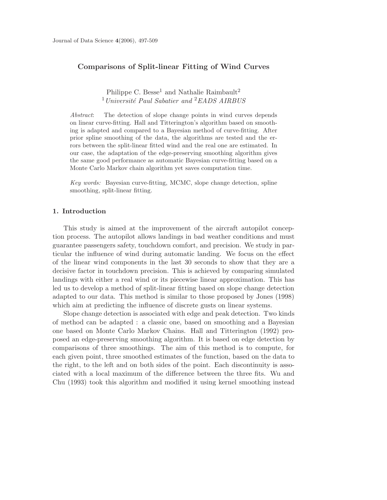# **Comparisons of Split-linear Fitting of Wind Curves**

Philippe C. Besse<sup>1</sup> and Nathalie Raimbault<sup>2</sup> 1*Universit´e Paul Sabatier and* 2*EADS AIRBUS*

*Abstract*: The detection of slope change points in wind curves depends on linear curve-fitting. Hall and Titterington's algorithm based on smoothing is adapted and compared to a Bayesian method of curve-fitting. After prior spline smoothing of the data, the algorithms are tested and the errors between the split-linear fitted wind and the real one are estimated. In our case, the adaptation of the edge-preserving smoothing algorithm gives the same good performance as automatic Bayesian curve-fitting based on a Monte Carlo Markov chain algorithm yet saves computation time.

*Key words:* Bayesian curve-fitting, MCMC, slope change detection, spline smoothing, split-linear fitting.

#### **1. Introduction**

This study is aimed at the improvement of the aircraft autopilot conception process. The autopilot allows landings in bad weather conditions and must guarantee passengers safety, touchdown comfort, and precision. We study in particular the influence of wind during automatic landing. We focus on the effect of the linear wind components in the last 30 seconds to show that they are a decisive factor in touchdown precision. This is achieved by comparing simulated landings with either a real wind or its piecewise linear approximation. This has led us to develop a method of split-linear fitting based on slope change detection adapted to our data. This method is similar to those proposed by Jones (1998) which aim at predicting the influence of discrete gusts on linear systems.

Slope change detection is associated with edge and peak detection. Two kinds of method can be adapted : a classic one, based on smoothing and a Bayesian one based on Monte Carlo Markov Chains. Hall and Titterington (1992) proposed an edge-preserving smoothing algorithm. It is based on edge detection by comparisons of three smoothings. The aim of this method is to compute, for each given point, three smoothed estimates of the function, based on the data to the right, to the left and on both sides of the point. Each discontinuity is associated with a local maximum of the difference between the three fits. Wu and Chu (1993) took this algorithm and modified it using kernel smoothing instead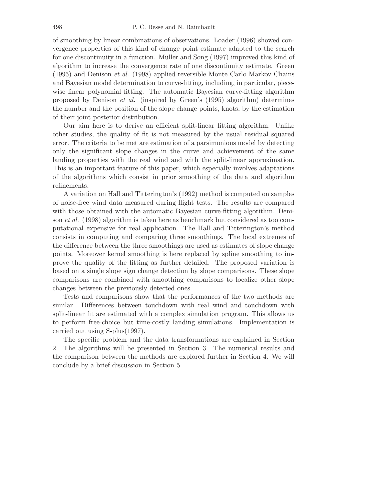of smoothing by linear combinations of observations. Loader (1996) showed convergence properties of this kind of change point estimate adapted to the search for one discontinuity in a function. Müller and Song (1997) improved this kind of algorithm to increase the convergence rate of one discontinuity estimate. Green (1995) and Denison *et al.* (1998) applied reversible Monte Carlo Markov Chains and Bayesian model determination to curve-fitting, including, in particular, piecewise linear polynomial fitting. The automatic Bayesian curve-fitting algorithm proposed by Denison *et al.* (inspired by Green's (1995) algorithm) determines the number and the position of the slope change points, knots, by the estimation of their joint posterior distribution.

Our aim here is to derive an efficient split-linear fitting algorithm. Unlike other studies, the quality of fit is not measured by the usual residual squared error. The criteria to be met are estimation of a parsimonious model by detecting only the significant slope changes in the curve and achievement of the same landing properties with the real wind and with the split-linear approximation. This is an important feature of this paper, which especially involves adaptations of the algorithms which consist in prior smoothing of the data and algorithm refinements.

A variation on Hall and Titterington's (1992) method is computed on samples of noise-free wind data measured during flight tests. The results are compared with those obtained with the automatic Bayesian curve-fitting algorithm. Denison *et al.* (1998) algorithm is taken here as benchmark but considered as too computational expensive for real application. The Hall and Titterington's method consists in computing and comparing three smoothings. The local extremes of the difference between the three smoothings are used as estimates of slope change points. Moreover kernel smoothing is here replaced by spline smoothing to improve the quality of the fitting as further detailed. The proposed variation is based on a single slope sign change detection by slope comparisons. These slope comparisons are combined with smoothing comparisons to localize other slope changes between the previously detected ones.

Tests and comparisons show that the performances of the two methods are similar. Differences between touchdown with real wind and touchdown with split-linear fit are estimated with a complex simulation program. This allows us to perform free-choice but time-costly landing simulations. Implementation is carried out using S-plus(1997).

The specific problem and the data transformations are explained in Section 2. The algorithms will be presented in Section 3. The numerical results and the comparison between the methods are explored further in Section 4. We will conclude by a brief discussion in Section 5.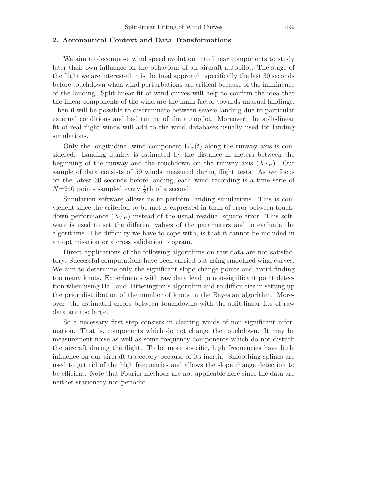### **2. Aeronautical Context and Data Transformations**

We aim to decompose wind speed evolution into linear components to study later their own influence on the behaviour of an aircraft autopilot. The stage of the flight we are interested in is the final approach, specifically the last 30 seconds before touchdown when wind perturbations are critical because of the imminence of the landing. Split-linear fit of wind curves will help to confirm the idea that the linear components of the wind are the main factor towards unusual landings. Then il will be possible to discriminate between severe landing due to particular external conditions and bad tuning of the autopilot. Moreover, the split-linear fit of real flight winds will add to the wind databases usually used for landing simulations.

Only the longitudinal wind component  $W_x(t)$  along the runway axis is considered. Landing quality is estimated by the distance in meters between the beginning of the runway and the touchdown on the runway axis  $(X_{TP})$ . Our sample of data consists of 59 winds measured during flight tests. As we focus on the latest 30 seconds before landing, each wind recording is a time serie of  $N=240$  points sampled every  $\frac{1}{8}$ th of a second.

Simulation software allows us to perform landing simulations. This is convienent since the criterion to be met is expressed in term of error between touchdown performance  $(X_{TP})$  instead of the usual residual square error. This software is used to set the different values of the parameters and to evaluate the algorithms. The difficulty we have to cope with, is that it cannot be included in an optimisation or a cross validation program.

Direct applications of the following algorithms on raw data are not satisfactory. Successful computations have been carried out using smoothed wind curves. We aim to determine only the significant slope change points and avoid finding too many knots. Experiments with raw data lead to non-significant point detection when using Hall and Titterington's algorithm and to difficulties in setting up the prior distribution of the number of knots in the Bayesian algorithm. Moreover, the estimated errors between touchdowns with the split-linear fits of raw data are too large.

So a necessary first step consists in clearing winds of non significant information. That is, components which do not change the touchdown. It may be measurement noise as well as some frequency components which do not disturb the aircraft during the flight. To be more specific, high frequencies have little influence on our aircraft trajectory because of its inertia. Smoothing splines are used to get rid of the high frequencies and allows the slope change detection to be efficient. Note that Fourier methods are not applicable here since the data are neither stationary nor periodic.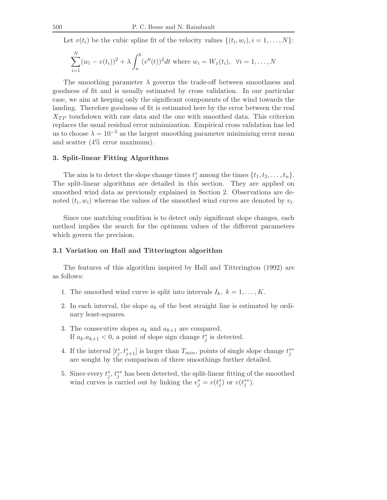Let  $v(t_i)$  be the cubic spline fit of the velocity values  $\{(t_i, w_i), i = 1, \ldots, N\}$ :

$$
\sum_{i=1}^{N} (w_i - v(t_i))^2 + \lambda \int_a^b (v''(t))^2 dt \text{ where } w_i = W_x(t_i), \ \forall i = 1, ..., N
$$

The smoothing parameter  $\lambda$  governs the trade-off between smoothness and goodness of fit and is usually estimated by cross validation. In our particular case, we aim at keeping only the significant components of the wind towards the landing. Therefore goodness of fit is estimated here by the error between the real  $X_{TP}$  touchdown with raw data and the one with smoothed data. This criterion replaces the usual residual error minimization. Empirical cross validation has led us to choose  $\lambda = 10^{-5}$  as the largest smoothing parameter minimizing error mean and scatter (4% error maximum).

#### **3. Split-linear Fitting Algorithms**

The aim is to detect the slope change times  $t_j^*$  among the times  $\{t_1, t_2, \ldots, t_n\}$ . The split-linear algorithms are detailed in this section. They are applied on smoothed wind data as previously explained in Section 2. Observations are denoted  $(t_i, w_i)$  whereas the values of the smoothed wind curves are denoted by  $v_i$ .

Since one matching condition is to detect only significant slope changes, each method implies the search for the optimum values of the different parameters which govern the precision.

#### **3.1 Variation on Hall and Titterington algorithm**

The features of this algorithm inspired by Hall and Titterington (1992) are as follows:

- 1. The smoothed wind curve is split into intervals  $I_k$ ,  $k = 1, \ldots, K$ .
- 2. In each interval, the slope a*<sup>k</sup>* of the best straight line is estimated by ordinary least-squares.
- 3. The consecutive slopes  $a_k$  and  $a_{k+1}$  are compared. If  $a_k \tcdot a_{k+1} < 0$ , a point of slope sign change  $t_j^*$  is detected.
- 4. If the interval  $[t_j^*, t_{j+1}^*]$  is larger than  $T_{min}$ , points of single slope change  $t_j^{**}$ are sought by the comparison of three smoothings further detailed.
- 5. Since every  $t_j^*, t_j^{**}$  has been detected, the split-linear fitting of the smoothed wind curves is carried out by linking the  $v_j^* = v(t_j^*)$  or  $v(t_j^{**})$ .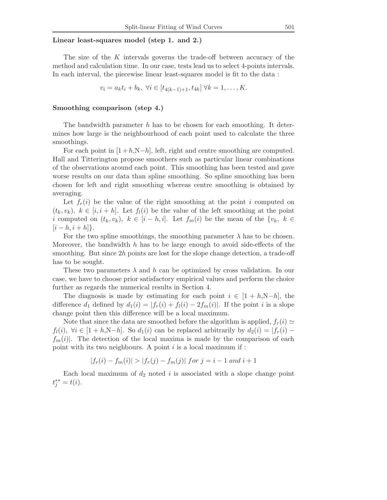# **Linear least-squares model (step 1. and 2.)**

The size of the K intervals governs the trade-off between accuracy of the method and calculation time. In our case, tests lead us to select 4-points intervals. In each interval, the piecewise linear least-squares model is fit to the data :

$$
v_i = a_k t_i + b_k, \ \forall i \in [t_{4(k-1)+1}, t_{4k}] \ \forall k = 1, \dots, K.
$$

#### **Smoothing comparison (step 4.)**

The bandwidth parameter  $h$  has to be chosen for each smoothing. It determines how large is the neighbourhood of each point used to calculate the three smoothings.

For each point in  $[1 + h, N-h]$ , left, right and centre smoothing are computed. Hall and Titterington propose smoothers such as particular linear combinations of the observations around each point. This smoothing has been tested and gave worse results on our data than spline smoothing. So spline smoothing has been chosen for left and right smoothing whereas centre smoothing is obtained by averaging.

Let  $f_r(i)$  be the value of the right smoothing at the point i computed on  $(t_k, v_k)$ ,  $k \in [i, i+h]$ . Let  $f_l(i)$  be the value of the left smoothing at the point i computed on  $(t_k, v_k)$ ,  $k \in [i-h, i]$ . Let  $f_m(i)$  be the mean of the  $\{v_k, k \in$  $[i - h, i + h]$ .

For the two spline smoothings, the smoothing parameter  $\lambda$  has to be chosen. Moreover, the bandwidth h has to be large enough to avoid side-effects of the smoothing. But since 2h points are lost for the slope change detection, a trade-off has to be sought.

These two parameters  $\lambda$  and h can be optimized by cross validation. In our case, we have to choose prior satisfactory empirical values and perform the choice further as regards the numerical results in Section 4.

The diagnosis is made by estimating for each point  $i \in [1 + h, N-h]$ , the difference  $d_1$  defined by  $d_1(i) = |f_r(i) + f_l(i) - 2f_m(i)|$ . If the point i is a slope change point then this difference will be a local maximum.

Note that since the data are smoothed before the algorithm is applied,  $f_r(i) \simeq$  $f_l(i), \forall i \in [1 + h, N-h]$ . So  $d_1(i)$  can be replaced arbitrarily by  $d_2(i) = |f_r(i)$  $f_m(i)$ . The detection of the local maxima is made by the comparison of each point with its two neighbours. A point  $i$  is a local maximum if:

$$
|f_r(i) - f_m(i)| > |f_r(j) - f_m(j)| \text{ for } j = i - 1 \text{ and } i + 1
$$

Each local maximum of  $d_2$  noted i is associated with a slope change point  $t_j^{**} = t(i).$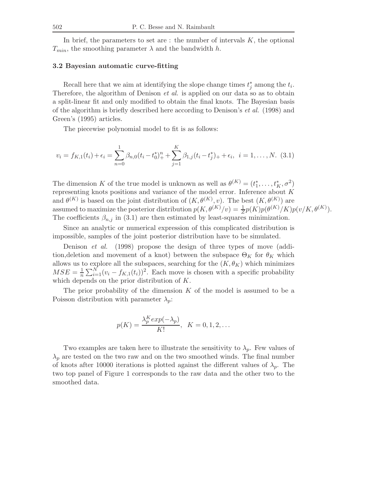In brief, the parameters to set are  $\colon$  the number of intervals  $K$ , the optional  $T_{min}$ , the smoothing parameter  $\lambda$  and the bandwidth h.

## **3.2 Bayesian automatic curve-fitting**

Recall here that we aim at identifying the slope change times  $t_j^*$  among the  $t_i$ . Therefore, the algorithm of Denison *et al.* is applied on our data so as to obtain a split-linear fit and only modified to obtain the final knots. The Bayesian basis of the algorithm is briefly described here according to Denison's *et al.* (1998) and Green's (1995) articles.

The piecewise polynomial model to fit is as follows:

$$
v_i = f_{K,1}(t_i) + \epsilon_i = \sum_{n=0}^{1} \beta_{n,0} (t_i - t_0)^n + \sum_{j=1}^{K} \beta_{1,j} (t_i - t_j^*) + \epsilon_i, \quad i = 1, \dots, N. \tag{3.1}
$$

The dimension K of the true model is unknown as well as  $\theta^{(K)} = (t_1^*, \ldots, t_K^*, \sigma^2)$ representing knots positions and variance of the model error. Inference about K and  $\theta^{(K)}$  is based on the joint distribution of  $(K, \theta^{(K)}, v)$ . The best  $(K, \theta^{(K)})$  are assumed to maximize the posterior distribution  $p(K, \theta^{(K)}/v) = \frac{1}{Z}p(K)p(\theta^{(K)}/K)p(v/K, \theta^{(K)})$ . The coefficients  $\beta_{n,j}$  in (3.1) are then estimated by least-squares minimization.

Since an analytic or numerical expression of this complicated distribution is impossible, samples of the joint posterior distribution have to be simulated.

Denison *et al.* (1998) propose the design of three types of move (addition, deletion and movement of a knot) between the subspace  $\Theta_K$  for  $\theta_K$  which allows us to explore all the subspaces, searching for the  $(K, \theta_K)$  which minimizes  $MSE = \frac{1}{n} \sum_{i=1}^{N} (v_i - f_{K,1}(t_i))^2$ . Each move is chosen with a specific probability which depends on the prior distribution of K.

The prior probability of the dimension  $K$  of the model is assumed to be a Poisson distribution with parameter  $\lambda_p$ :

$$
p(K) = \frac{\lambda_p^K exp(-\lambda_p)}{K!}, \quad K = 0, 1, 2, \dots
$$

Two examples are taken here to illustrate the sensitivity to  $\lambda_p$ . Few values of  $\lambda_p$  are tested on the two raw and on the two smoothed winds. The final number of knots after 10000 iterations is plotted against the different values of  $\lambda_p$ . The two top panel of Figure 1 corresponds to the raw data and the other two to the smoothed data.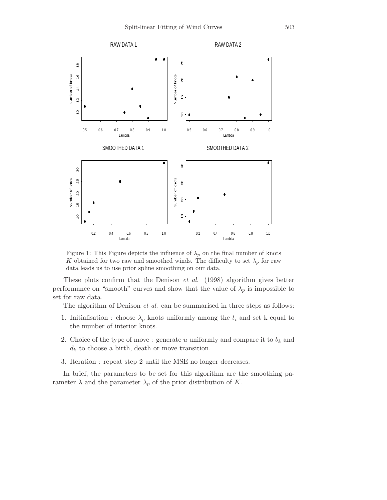

Figure 1: This Figure depicts the influence of  $\lambda_p$  on the final number of knots K obtained for two raw and smoothed winds. The difficulty to set  $\lambda_p$  for raw data leads us to use prior spline smoothing on our data.

These plots confirm that the Denison *et al.* (1998) algorithm gives better performance on "smooth" curves and show that the value of  $\lambda_p$  is impossible to set for raw data.

The algorithm of Denison *et al.* can be summarised in three steps as follows:

- 1. Initialisation : choose  $\lambda_p$  knots uniformly among the  $t_i$  and set k equal to the number of interior knots.
- 2. Choice of the type of move: generate  $u$  uniformly and compare it to  $b_k$  and  $d_k$  to choose a birth, death or move transition.
- 3. Iteration : repeat step 2 until the MSE no longer decreases.

In brief, the parameters to be set for this algorithm are the smoothing parameter  $\lambda$  and the parameter  $\lambda_p$  of the prior distribution of K.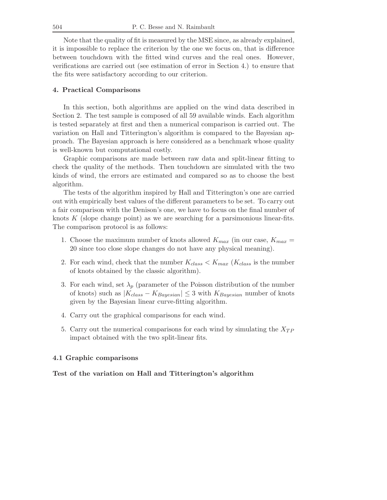Note that the quality of fit is measured by the MSE since, as already explained, it is impossible to replace the criterion by the one we focus on, that is difference between touchdown with the fitted wind curves and the real ones. However, verifications are carried out (see estimation of error in Section 4.) to ensure that the fits were satisfactory according to our criterion.

### **4. Practical Comparisons**

In this section, both algorithms are applied on the wind data described in Section 2. The test sample is composed of all 59 available winds. Each algorithm is tested separately at first and then a numerical comparison is carried out. The variation on Hall and Titterington's algorithm is compared to the Bayesian approach. The Bayesian approach is here considered as a benchmark whose quality is well-known but computational costly.

Graphic comparisons are made between raw data and split-linear fitting to check the quality of the methods. Then touchdown are simulated with the two kinds of wind, the errors are estimated and compared so as to choose the best algorithm.

The tests of the algorithm inspired by Hall and Titterington's one are carried out with empirically best values of the different parameters to be set. To carry out a fair comparison with the Denison's one, we have to focus on the final number of knots  $K$  (slope change point) as we are searching for a parsimonious linear-fits. The comparison protocol is as follows:

- 1. Choose the maximum number of knots allowed  $K_{max}$  (in our case,  $K_{max}$  = 20 since too close slope changes do not have any physical meaning).
- 2. For each wind, check that the number  $K_{class} < K_{max}$  ( $K_{class}$  is the number of knots obtained by the classic algorithm).
- 3. For each wind, set  $\lambda_p$  (parameter of the Poisson distribution of the number of knots) such as  $|K_{class} - K_{Bayesian}| \leq 3$  with  $K_{Bayesian}$  number of knots given by the Bayesian linear curve-fitting algorithm.
- 4. Carry out the graphical comparisons for each wind.
- 5. Carry out the numerical comparisons for each wind by simulating the X*T P* impact obtained with the two split-linear fits.

## **4.1 Graphic comparisons**

# **Test of the variation on Hall and Titterington's algorithm**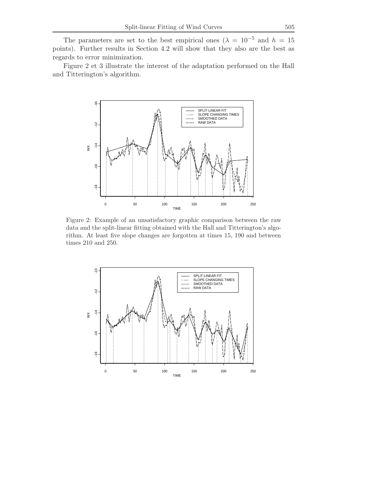The parameters are set to the best empirical ones ( $\lambda = 10^{-5}$  and  $h = 15$ ) points). Further results in Section 4.2 will show that they also are the best as regards to error minimization.

Figure 2 et 3 illustrate the interest of the adaptation performed on the Hall and Titterington's algorithm.



Figure 2: Example of an unsatisfactory graphic comparison between the raw data and the split-linear fitting obtained with the Hall and Titterington's algorithm. At least five slope changes are forgotten at times 15, 190 and between times 210 and 250.

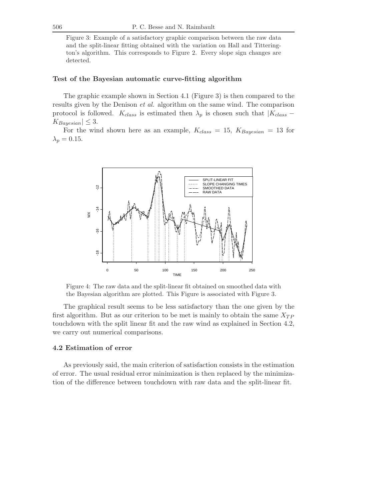Figure 3: Example of a satisfactory graphic comparison between the raw data and the split-linear fitting obtained with the variation on Hall and Titterington's algorithm. This corresponds to Figure 2. Every slope sign changes are detected.

## **Test of the Bayesian automatic curve-fitting algorithm**

The graphic example shown in Section 4.1 (Figure 3) is then compared to the results given by the Denison *et al.* algorithm on the same wind. The comparison protocol is followed.  $K_{class}$  is estimated then  $\lambda_p$  is chosen such that  $|K_{class} K_{Bayesian} \leq 3$ .

For the wind shown here as an example, K*class* = 15, K*Bayesian* = 13 for  $\lambda_p = 0.15$ .



Figure 4: The raw data and the split-linear fit obtained on smoothed data with the Bayesian algorithm are plotted. This Figure is associated with Figure 3.

The graphical result seems to be less satisfactory than the one given by the first algorithm. But as our criterion to be met is mainly to obtain the same  $X_{TP}$ touchdown with the split linear fit and the raw wind as explained in Section 4.2, we carry out numerical comparisons.

# **4.2 Estimation of error**

As previously said, the main criterion of satisfaction consists in the estimation of error. The usual residual error minimization is then replaced by the minimization of the difference between touchdown with raw data and the split-linear fit.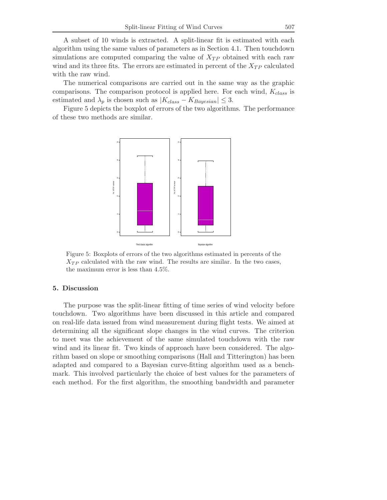A subset of 10 winds is extracted. A split-linear fit is estimated with each algorithm using the same values of parameters as in Section 4.1. Then touchdown simulations are computed comparing the value of X*T P* obtained with each raw wind and its three fits. The errors are estimated in percent of the  $X_{TP}$  calculated with the raw wind.

The numerical comparisons are carried out in the same way as the graphic comparisons. The comparison protocol is applied here. For each wind, K*class* is estimated and  $\lambda_p$  is chosen such as  $|K_{class} - K_{Bayesian}| \leq 3$ .

Figure 5 depicts the boxplot of errors of the two algorithms. The performance of these two methods are similar.



Figure 5: Boxplots of errors of the two algorithms estimated in percents of the  $X_{TP}$  calculated with the raw wind. The results are similar. In the two cases, the maximum error is less than 4.5%.

### **5. Discussion**

The purpose was the split-linear fitting of time series of wind velocity before touchdown. Two algorithms have been discussed in this article and compared on real-life data issued from wind measurement during flight tests. We aimed at determining all the significant slope changes in the wind curves. The criterion to meet was the achievement of the same simulated touchdown with the raw wind and its linear fit. Two kinds of approach have been considered. The algorithm based on slope or smoothing comparisons (Hall and Titterington) has been adapted and compared to a Bayesian curve-fitting algorithm used as a benchmark. This involved particularly the choice of best values for the parameters of each method. For the first algorithm, the smoothing bandwidth and parameter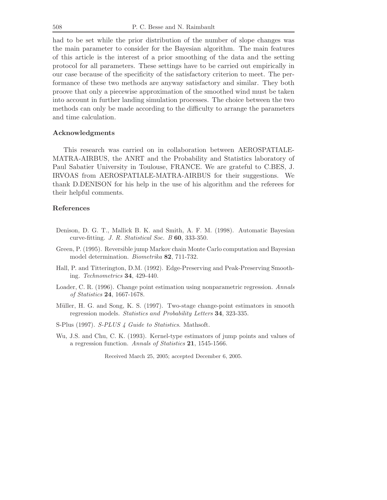had to be set while the prior distribution of the number of slope changes was the main parameter to consider for the Bayesian algorithm. The main features of this article is the interest of a prior smoothing of the data and the setting protocol for all parameters. These settings have to be carried out empirically in our case because of the specificity of the satisfactory criterion to meet. The performance of these two methods are anyway satisfactory and similar. They both proove that only a piecewise approximation of the smoothed wind must be taken into account in further landing simulation processes. The choice between the two methods can only be made according to the difficulty to arrange the parameters and time calculation.

#### **Acknowledgments**

This research was carried on in collaboration between AEROSPATIALE-MATRA-AIRBUS, the ANRT and the Probability and Statistics laboratory of Paul Sabatier University in Toulouse, FRANCE. We are grateful to C.BES, J. IRVOAS from AEROSPATIALE-MATRA-AIRBUS for their suggestions. We thank D.DENISON for his help in the use of his algorithm and the referees for their helpful comments.

# **References**

- Denison, D. G. T., Mallick B. K. and Smith, A. F. M. (1998). Automatic Bayesian curve-fitting. *J. R. Statistical Soc. B* **60**, 333-350.
- Green, P. (1995). Reversible jump Markov chain Monte Carlo computation and Bayesian model determination. *Biometrika* **82**, 711-732.
- Hall, P. and Titterington, D.M. (1992). Edge-Preserving and Peak-Preserving Smoothing. *Technometrics* **34**, 429-440.
- Loader, C. R. (1996). Change point estimation using nonparametric regression. *Annals of Statistics* **24**, 1667-1678.
- Müller, H. G. and Song, K. S. (1997). Two-stage change-point estimators in smooth regression models. *Statistics* and *Probability Letters* **34**, 323-335.
- S-Plus (1997). *S-PLUS 4 Guide to Statistics*. Mathsoft.
- Wu, J.S. and Chu, C. K. (1993). Kernel-type estimators of jump points and values of a regression function. *Annals of Statistics* **21**, 1545-1566.

Received March 25, 2005; accepted December 6, 2005.